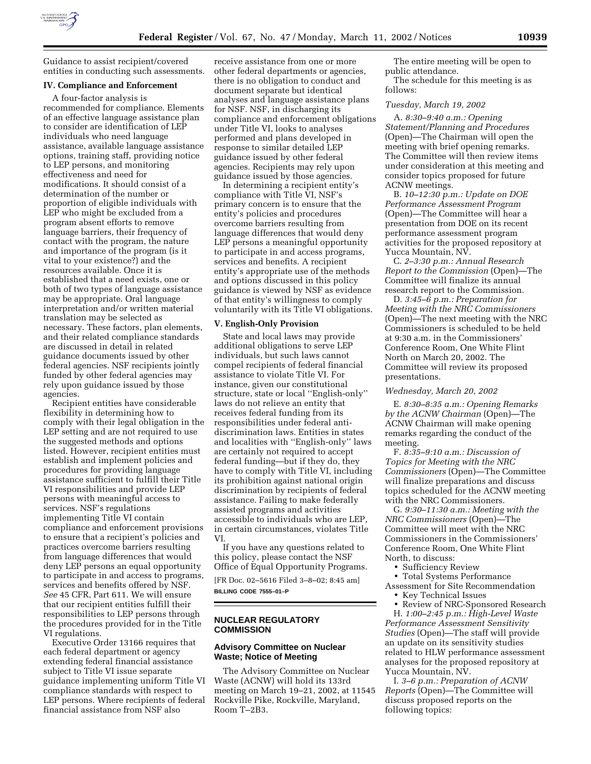

Guidance to assist recipient/covered entities in conducting such assessments.

### **IV. Compliance and Enforcement**

A four-factor analysis is recommended for compliance. Elements of an effective language assistance plan to consider are identification of LEP individuals who need language assistance, available language assistance options, training staff, providing notice to LEP persons, and monitoring effectiveness and need for modifications. It should consist of a determination of the number or proportion of eligible individuals with LEP who might be excluded from a program absent efforts to remove language barriers, their frequency of contact with the program, the nature and importance of the program (is it vital to your existence?) and the resources available. Once it is established that a need exists, one or both of two types of language assistance may be appropriate. Oral language interpretation and/or written material translation may be selected as necessary. These factors, plan elements, and their related compliance standards are discussed in detail in related guidance documents issued by other federal agencies. NSF recipients jointly funded by other federal agencies may rely upon guidance issued by those agencies.

Recipient entities have considerable flexibility in determining how to comply with their legal obligation in the LEP setting and are not required to use the suggested methods and options listed. However, recipient entities must establish and implement policies and procedures for providing language assistance sufficient to fulfill their Title VI responsibilities and provide LEP persons with meaningful access to services. NSF's regulations implementing Title VI contain compliance and enforcement provisions to ensure that a recipient's policies and practices overcome barriers resulting from language differences that would deny LEP persons an equal opportunity to participate in and access to programs, services and benefits offered by NSF. *See* 45 CFR, Part 611. We will ensure that our recipient entities fulfill their responsibilities to LEP persons through the procedures provided for in the Title VI regulations.

Executive Order 13166 requires that each federal department or agency extending federal financial assistance subject to Title VI issue separate guidance implementing uniform Title VI compliance standards with respect to LEP persons. Where recipients of federal financial assistance from NSF also

receive assistance from one or more other federal departments or agencies, there is no obligation to conduct and document separate but identical analyses and language assistance plans for NSF. NSF, in discharging its compliance and enforcement obligations under Title VI, looks to analyses performed and plans developed in response to similar detailed LEP guidance issued by other federal agencies. Recipients may rely upon guidance issued by those agencies.

In determining a recipient entity's compliance with Title VI, NSF's primary concern is to ensure that the entity's policies and procedures overcome barriers resulting from language differences that would deny LEP persons a meaningful opportunity to participate in and access programs, services and benefits. A recipient entity's appropriate use of the methods and options discussed in this policy guidance is viewed by NSF as evidence of that entity's willingness to comply voluntarily with its Title VI obligations.

### **V. English-Only Provision**

State and local laws may provide additional obligations to serve LEP individuals, but such laws cannot compel recipients of federal financial assistance to violate Title VI. For instance, given our constitutional structure, state or local ''English-only'' laws do not relieve an entity that receives federal funding from its responsibilities under federal antidiscrimination laws. Entities in states and localities with ''English-only'' laws are certainly not required to accept federal funding—but if they do, they have to comply with Title VI, including its prohibition against national origin discrimination by recipients of federal assistance. Failing to make federally assisted programs and activities accessible to individuals who are LEP, in certain circumstances, violates Title VI.

If you have any questions related to this policy, please contact the NSF Office of Equal Opportunity Programs.

[FR Doc. 02–5616 Filed 3–8–02; 8:45 am] **BILLING CODE 7555–01–P**

# **NUCLEAR REGULATORY COMMISSION**

# **Advisory Committee on Nuclear Waste; Notice of Meeting**

The Advisory Committee on Nuclear Waste (ACNW) will hold its 133rd meeting on March 19–21, 2002, at 11545 Rockville Pike, Rockville, Maryland, Room T–2B3.

The entire meeting will be open to public attendance.

The schedule for this meeting is as follows:

### *Tuesday, March 19, 2002*

A. *8:30–9:40 a.m.: Opening Statement/Planning and Procedures* (Open)—The Chairman will open the meeting with brief opening remarks. The Committee will then review items under consideration at this meeting and consider topics proposed for future ACNW meetings.

B. *10–12:30 p.m.: Update on DOE Performance Assessment Program* (Open)—The Committee will hear a presentation from DOE on its recent performance assessment program activities for the proposed repository at Yucca Mountain, NV.

C. *2–3:30 p.m.: Annual Research Report to the Commission* (Open)—The Committee will finalize its annual research report to the Commission.

D. *3:45–6 p.m.: Preparation for Meeting with the NRC Commissioners* (Open)—The next meeting with the NRC Commissioners is scheduled to be held at 9:30 a.m. in the Commissioners' Conference Room, One White Flint North on March 20, 2002. The Committee will review its proposed presentations.

#### *Wednesday, March 20, 2002*

E. *8:30–8:35 a.m.: Opening Remarks by the ACNW Chairman* (Open)—The ACNW Chairman will make opening remarks regarding the conduct of the meeting.

F. *8:35–9:10 a.m.: Discussion of Topics for Meeting with the NRC Commissioners* (Open)—The Committee will finalize preparations and discuss topics scheduled for the ACNW meeting with the NRC Commissioners.

G. *9:30–11:30 a.m.: Meeting with the NRC Commissioners* (Open)—The Committee will meet with the NRC Commissioners in the Commissioners' Conference Room, One White Flint North, to discuss:

• Sufficiency Review

• Total Systems Performance Assessment for Site Recommendation

• Key Technical Issues

• Review of NRC-Sponsored Research

H. *1:00–2:45 p.m.: High-Level Waste Performance Assessment Sensitivity Studies* (Open)—The staff will provide an update on its sensitivity studies related to HLW performance assessment analyses for the proposed repository at Yucca Mountain, NV.

I. *3–6 p.m.: Preparation of ACNW Reports* (Open)—The Committee will discuss proposed reports on the following topics: